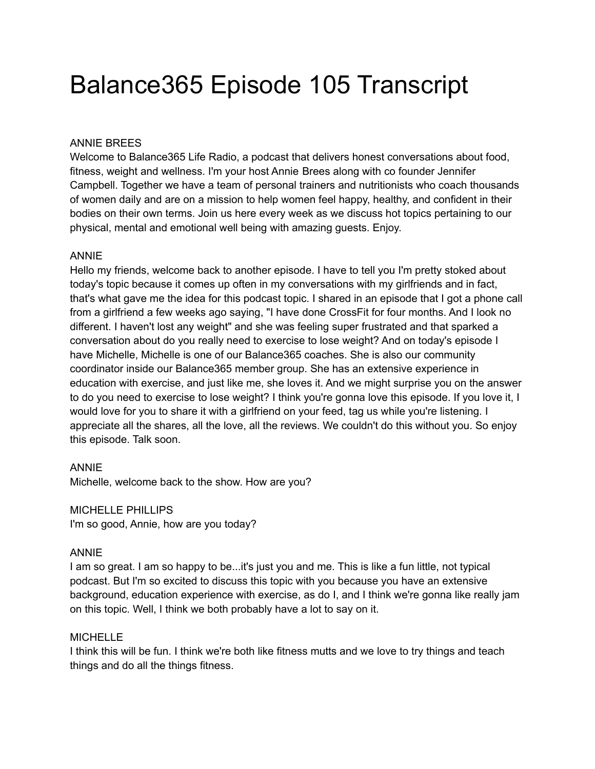# Balance365 Episode 105 Transcript

## ANNIE BREES

Welcome to Balance365 Life Radio, a podcast that delivers honest conversations about food, fitness, weight and wellness. I'm your host Annie Brees along with co founder Jennifer Campbell. Together we have a team of personal trainers and nutritionists who coach thousands of women daily and are on a mission to help women feel happy, healthy, and confident in their bodies on their own terms. Join us here every week as we discuss hot topics pertaining to our physical, mental and emotional well being with amazing guests. Enjoy.

## ANNIE

Hello my friends, welcome back to another episode. I have to tell you I'm pretty stoked about today's topic because it comes up often in my conversations with my girlfriends and in fact, that's what gave me the idea for this podcast topic. I shared in an episode that I got a phone call from a girlfriend a few weeks ago saying, "I have done CrossFit for four months. And I look no different. I haven't lost any weight" and she was feeling super frustrated and that sparked a conversation about do you really need to exercise to lose weight? And on today's episode I have Michelle, Michelle is one of our Balance365 coaches. She is also our community coordinator inside our Balance365 member group. She has an extensive experience in education with exercise, and just like me, she loves it. And we might surprise you on the answer to do you need to exercise to lose weight? I think you're gonna love this episode. If you love it, I would love for you to share it with a girlfriend on your feed, tag us while you're listening. I appreciate all the shares, all the love, all the reviews. We couldn't do this without you. So enjoy this episode. Talk soon.

## ANNIE

Michelle, welcome back to the show. How are you?

MICHELLE PHILLIPS I'm so good, Annie, how are you today?

## ANNIE

I am so great. I am so happy to be...it's just you and me. This is like a fun little, not typical podcast. But I'm so excited to discuss this topic with you because you have an extensive background, education experience with exercise, as do I, and I think we're gonna like really jam on this topic. Well, I think we both probably have a lot to say on it.

## **MICHELLE**

I think this will be fun. I think we're both like fitness mutts and we love to try things and teach things and do all the things fitness.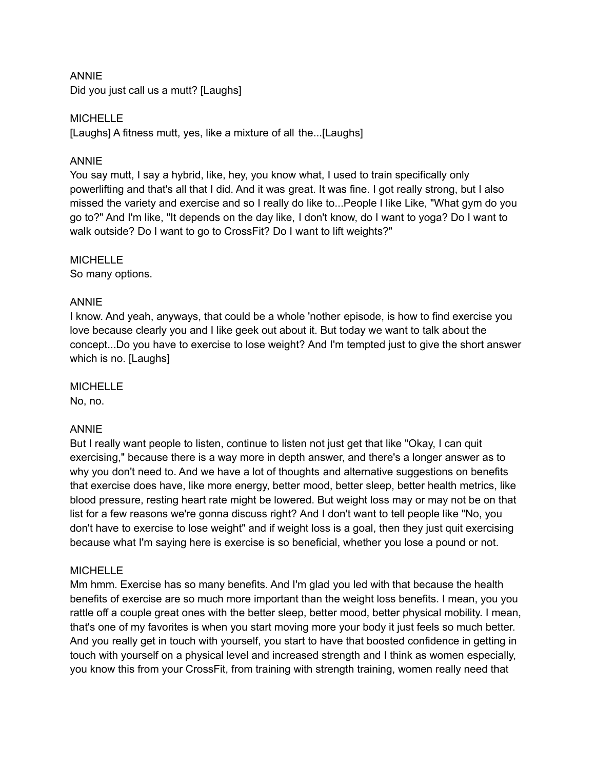## ANNIE

Did you just call us a mutt? [Laughs]

## **MICHELLE**

[Laughs] A fitness mutt, yes, like a mixture of all the...[Laughs]

## ANNIE

You say mutt, I say a hybrid, like, hey, you know what, I used to train specifically only powerlifting and that's all that I did. And it was great. It was fine. I got really strong, but I also missed the variety and exercise and so I really do like to...People I like Like, "What gym do you go to?" And I'm like, "It depends on the day like, I don't know, do I want to yoga? Do I want to walk outside? Do I want to go to CrossFit? Do I want to lift weights?"

## **MICHELLE**

So many options.

## ANNIE

I know. And yeah, anyways, that could be a whole 'nother episode, is how to find exercise you love because clearly you and I like geek out about it. But today we want to talk about the concept...Do you have to exercise to lose weight? And I'm tempted just to give the short answer which is no. [Laughs]

## **MICHELLE**

No, no.

## ANNIE

But I really want people to listen, continue to listen not just get that like "Okay, I can quit exercising," because there is a way more in depth answer, and there's a longer answer as to why you don't need to. And we have a lot of thoughts and alternative suggestions on benefits that exercise does have, like more energy, better mood, better sleep, better health metrics, like blood pressure, resting heart rate might be lowered. But weight loss may or may not be on that list for a few reasons we're gonna discuss right? And I don't want to tell people like "No, you don't have to exercise to lose weight" and if weight loss is a goal, then they just quit exercising because what I'm saying here is exercise is so beneficial, whether you lose a pound or not.

## **MICHELLE**

Mm hmm. Exercise has so many benefits. And I'm glad you led with that because the health benefits of exercise are so much more important than the weight loss benefits. I mean, you you rattle off a couple great ones with the better sleep, better mood, better physical mobility. I mean, that's one of my favorites is when you start moving more your body it just feels so much better. And you really get in touch with yourself, you start to have that boosted confidence in getting in touch with yourself on a physical level and increased strength and I think as women especially, you know this from your CrossFit, from training with strength training, women really need that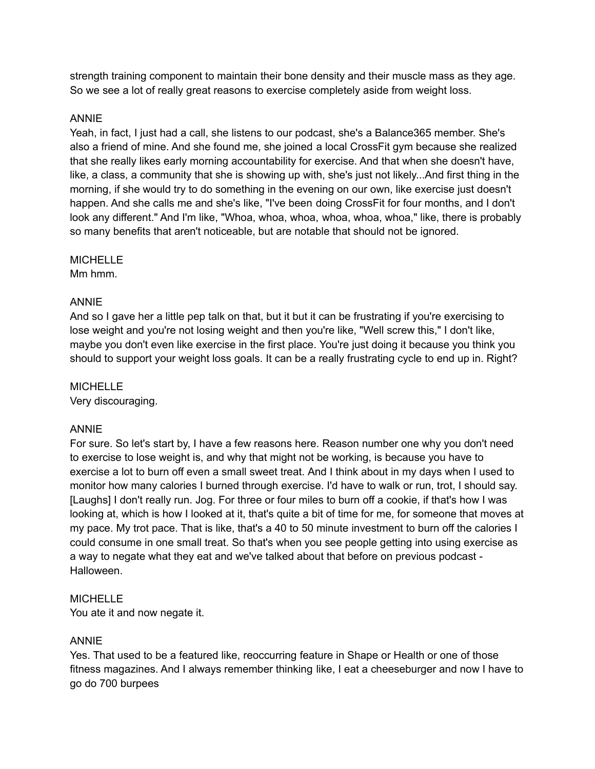strength training component to maintain their bone density and their muscle mass as they age. So we see a lot of really great reasons to exercise completely aside from weight loss.

## ANNIE

Yeah, in fact, I just had a call, she listens to our podcast, she's a Balance365 member. She's also a friend of mine. And she found me, she joined a local CrossFit gym because she realized that she really likes early morning accountability for exercise. And that when she doesn't have, like, a class, a community that she is showing up with, she's just not likely...And first thing in the morning, if she would try to do something in the evening on our own, like exercise just doesn't happen. And she calls me and she's like, "I've been doing CrossFit for four months, and I don't look any different." And I'm like, "Whoa, whoa, whoa, whoa, whoa, whoa," like, there is probably so many benefits that aren't noticeable, but are notable that should not be ignored.

## **MICHELLE**

Mm hmm.

## ANNIE

And so I gave her a little pep talk on that, but it but it can be frustrating if you're exercising to lose weight and you're not losing weight and then you're like, "Well screw this," I don't like, maybe you don't even like exercise in the first place. You're just doing it because you think you should to support your weight loss goals. It can be a really frustrating cycle to end up in. Right?

## **MICHELLE**

Very discouraging.

## ANNIE

For sure. So let's start by, I have a few reasons here. Reason number one why you don't need to exercise to lose weight is, and why that might not be working, is because you have to exercise a lot to burn off even a small sweet treat. And I think about in my days when I used to monitor how many calories I burned through exercise. I'd have to walk or run, trot, I should say. [Laughs] I don't really run. Jog. For three or four miles to burn off a cookie, if that's how I was looking at, which is how I looked at it, that's quite a bit of time for me, for someone that moves at my pace. My trot pace. That is like, that's a 40 to 50 minute investment to burn off the calories I could consume in one small treat. So that's when you see people getting into using exercise as a way to negate what they eat and we've talked about that before on previous podcast - Halloween.

## **MICHELLE**

You ate it and now negate it.

## ANNIE

Yes. That used to be a featured like, reoccurring feature in Shape or Health or one of those fitness magazines. And I always remember thinking like, I eat a cheeseburger and now I have to go do 700 burpees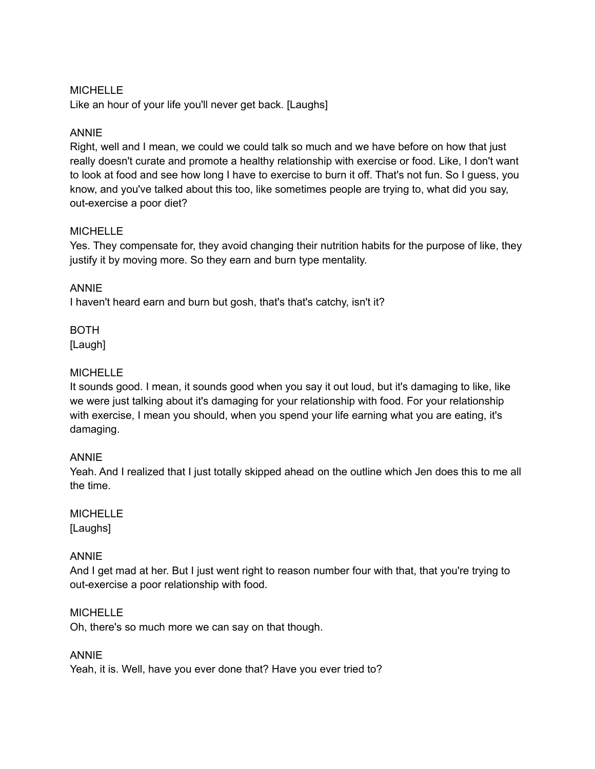## MICHELLE

Like an hour of your life you'll never get back. [Laughs]

## ANNIE

Right, well and I mean, we could we could talk so much and we have before on how that just really doesn't curate and promote a healthy relationship with exercise or food. Like, I don't want to look at food and see how long I have to exercise to burn it off. That's not fun. So I guess, you know, and you've talked about this too, like sometimes people are trying to, what did you say, out-exercise a poor diet?

## MICHELLE

Yes. They compensate for, they avoid changing their nutrition habits for the purpose of like, they justify it by moving more. So they earn and burn type mentality.

## ANNIE

I haven't heard earn and burn but gosh, that's that's catchy, isn't it?

BOTH [Laugh]

## MICHELLE

It sounds good. I mean, it sounds good when you say it out loud, but it's damaging to like, like we were just talking about it's damaging for your relationship with food. For your relationship with exercise, I mean you should, when you spend your life earning what you are eating, it's damaging.

## ANNIE

Yeah. And I realized that I just totally skipped ahead on the outline which Jen does this to me all the time.

## **MICHELLE** [Laughs]

## ANNIE

And I get mad at her. But I just went right to reason number four with that, that you're trying to out-exercise a poor relationship with food.

## MICHELLE

Oh, there's so much more we can say on that though.

## ANNIE

Yeah, it is. Well, have you ever done that? Have you ever tried to?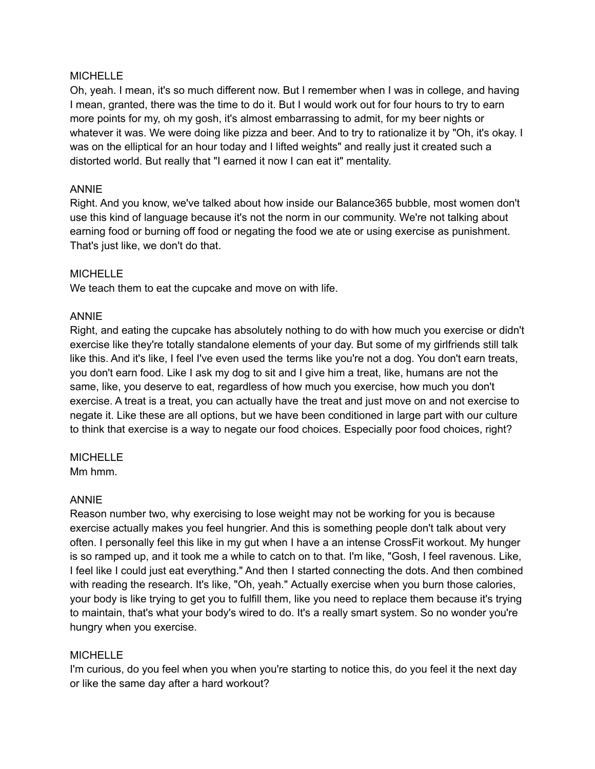## **MICHELLE**

Oh, yeah. I mean, it's so much different now. But I remember when I was in college, and having I mean, granted, there was the time to do it. But I would work out for four hours to try to earn more points for my, oh my gosh, it's almost embarrassing to admit, for my beer nights or whatever it was. We were doing like pizza and beer. And to try to rationalize it by "Oh, it's okay. I was on the elliptical for an hour today and I lifted weights" and really just it created such a distorted world. But really that "I earned it now I can eat it" mentality.

## ANNIE

Right. And you know, we've talked about how inside our Balance365 bubble, most women don't use this kind of language because it's not the norm in our community. We're not talking about earning food or burning off food or negating the food we ate or using exercise as punishment. That's just like, we don't do that.

## **MICHELLE**

We teach them to eat the cupcake and move on with life.

#### ANNIE

Right, and eating the cupcake has absolutely nothing to do with how much you exercise or didn't exercise like they're totally standalone elements of your day. But some of my girlfriends still talk like this. And it's like, I feel I've even used the terms like you're not a dog. You don't earn treats, you don't earn food. Like I ask my dog to sit and I give him a treat, like, humans are not the same, like, you deserve to eat, regardless of how much you exercise, how much you don't exercise. A treat is a treat, you can actually have the treat and just move on and not exercise to negate it. Like these are all options, but we have been conditioned in large part with our culture to think that exercise is a way to negate our food choices. Especially poor food choices, right?

#### **MICHELLE**

Mm hmm.

## ANNIE

Reason number two, why exercising to lose weight may not be working for you is because exercise actually makes you feel hungrier. And this is something people don't talk about very often. I personally feel this like in my gut when I have a an intense CrossFit workout. My hunger is so ramped up, and it took me a while to catch on to that. I'm like, "Gosh, I feel ravenous. Like, I feel like I could just eat everything." And then I started connecting the dots. And then combined with reading the research. It's like, "Oh, yeah." Actually exercise when you burn those calories, your body is like trying to get you to fulfill them, like you need to replace them because it's trying to maintain, that's what your body's wired to do. It's a really smart system. So no wonder you're hungry when you exercise.

## MICHELLE

I'm curious, do you feel when you when you're starting to notice this, do you feel it the next day or like the same day after a hard workout?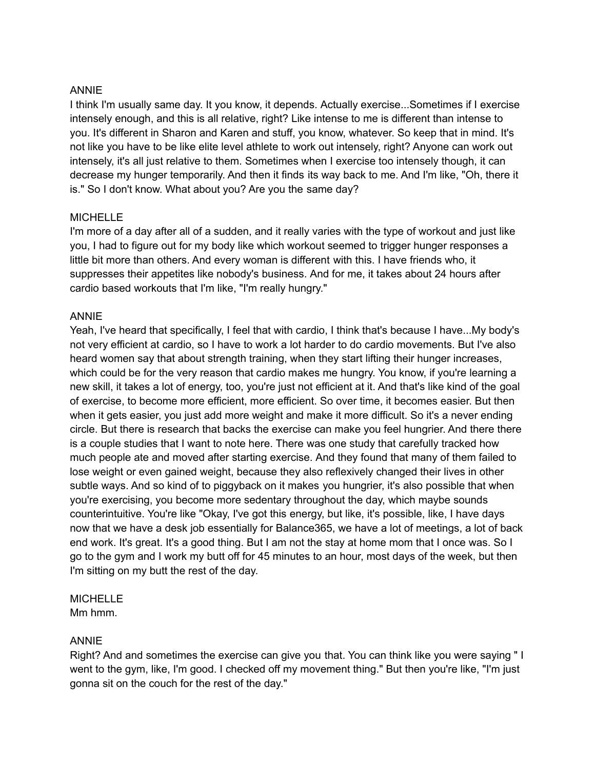## ANNIE

I think I'm usually same day. It you know, it depends. Actually exercise...Sometimes if I exercise intensely enough, and this is all relative, right? Like intense to me is different than intense to you. It's different in Sharon and Karen and stuff, you know, whatever. So keep that in mind. It's not like you have to be like elite level athlete to work out intensely, right? Anyone can work out intensely, it's all just relative to them. Sometimes when I exercise too intensely though, it can decrease my hunger temporarily. And then it finds its way back to me. And I'm like, "Oh, there it is." So I don't know. What about you? Are you the same day?

## **MICHELLE**

I'm more of a day after all of a sudden, and it really varies with the type of workout and just like you, I had to figure out for my body like which workout seemed to trigger hunger responses a little bit more than others. And every woman is different with this. I have friends who, it suppresses their appetites like nobody's business. And for me, it takes about 24 hours after cardio based workouts that I'm like, "I'm really hungry."

## ANNIE

Yeah, I've heard that specifically, I feel that with cardio, I think that's because I have...My body's not very efficient at cardio, so I have to work a lot harder to do cardio movements. But I've also heard women say that about strength training, when they start lifting their hunger increases, which could be for the very reason that cardio makes me hungry. You know, if you're learning a new skill, it takes a lot of energy, too, you're just not efficient at it. And that's like kind of the goal of exercise, to become more efficient, more efficient. So over time, it becomes easier. But then when it gets easier, you just add more weight and make it more difficult. So it's a never ending circle. But there is research that backs the exercise can make you feel hungrier. And there there is a couple studies that I want to note here. There was one study that carefully tracked how much people ate and moved after starting exercise. And they found that many of them failed to lose weight or even gained weight, because they also reflexively changed their lives in other subtle ways. And so kind of to piggyback on it makes you hungrier, it's also possible that when you're exercising, you become more sedentary throughout the day, which maybe sounds counterintuitive. You're like "Okay, I've got this energy, but like, it's possible, like, I have days now that we have a desk job essentially for Balance365, we have a lot of meetings, a lot of back end work. It's great. It's a good thing. But I am not the stay at home mom that I once was. So I go to the gym and I work my butt off for 45 minutes to an hour, most days of the week, but then I'm sitting on my butt the rest of the day.

## **MICHELLE**

Mm hmm.

## ANNIE

Right? And and sometimes the exercise can give you that. You can think like you were saying " I went to the gym, like, I'm good. I checked off my movement thing." But then you're like, "I'm just gonna sit on the couch for the rest of the day."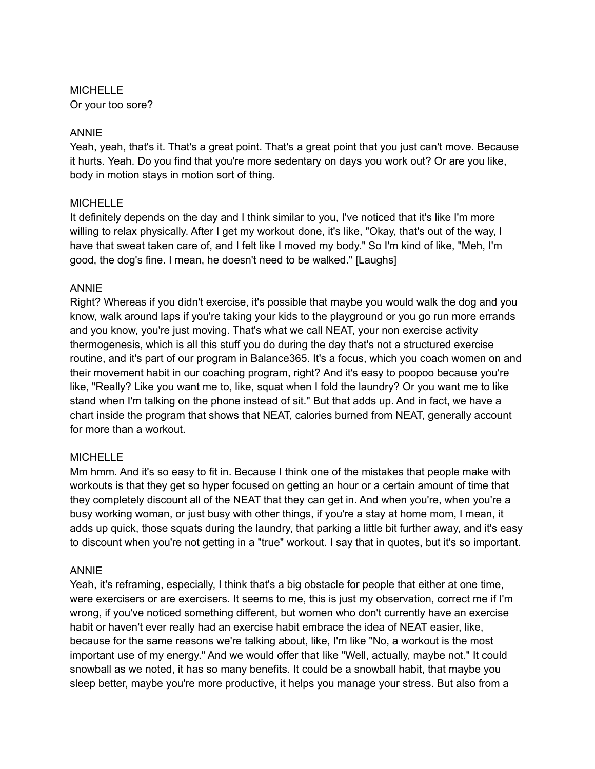MICHELLE Or your too sore?

## ANNIE

Yeah, yeah, that's it. That's a great point. That's a great point that you just can't move. Because it hurts. Yeah. Do you find that you're more sedentary on days you work out? Or are you like, body in motion stays in motion sort of thing.

## **MICHELLE**

It definitely depends on the day and I think similar to you, I've noticed that it's like I'm more willing to relax physically. After I get my workout done, it's like, "Okay, that's out of the way, I have that sweat taken care of, and I felt like I moved my body." So I'm kind of like, "Meh, I'm good, the dog's fine. I mean, he doesn't need to be walked." [Laughs]

## ANNIE

Right? Whereas if you didn't exercise, it's possible that maybe you would walk the dog and you know, walk around laps if you're taking your kids to the playground or you go run more errands and you know, you're just moving. That's what we call NEAT, your non exercise activity thermogenesis, which is all this stuff you do during the day that's not a structured exercise routine, and it's part of our program in Balance365. It's a focus, which you coach women on and their movement habit in our coaching program, right? And it's easy to poopoo because you're like, "Really? Like you want me to, like, squat when I fold the laundry? Or you want me to like stand when I'm talking on the phone instead of sit." But that adds up. And in fact, we have a chart inside the program that shows that NEAT, calories burned from NEAT, generally account for more than a workout.

## **MICHELLE**

Mm hmm. And it's so easy to fit in. Because I think one of the mistakes that people make with workouts is that they get so hyper focused on getting an hour or a certain amount of time that they completely discount all of the NEAT that they can get in. And when you're, when you're a busy working woman, or just busy with other things, if you're a stay at home mom, I mean, it adds up quick, those squats during the laundry, that parking a little bit further away, and it's easy to discount when you're not getting in a "true" workout. I say that in quotes, but it's so important.

## ANNIE

Yeah, it's reframing, especially, I think that's a big obstacle for people that either at one time, were exercisers or are exercisers. It seems to me, this is just my observation, correct me if I'm wrong, if you've noticed something different, but women who don't currently have an exercise habit or haven't ever really had an exercise habit embrace the idea of NEAT easier, like, because for the same reasons we're talking about, like, I'm like "No, a workout is the most important use of my energy." And we would offer that like "Well, actually, maybe not." It could snowball as we noted, it has so many benefits. It could be a snowball habit, that maybe you sleep better, maybe you're more productive, it helps you manage your stress. But also from a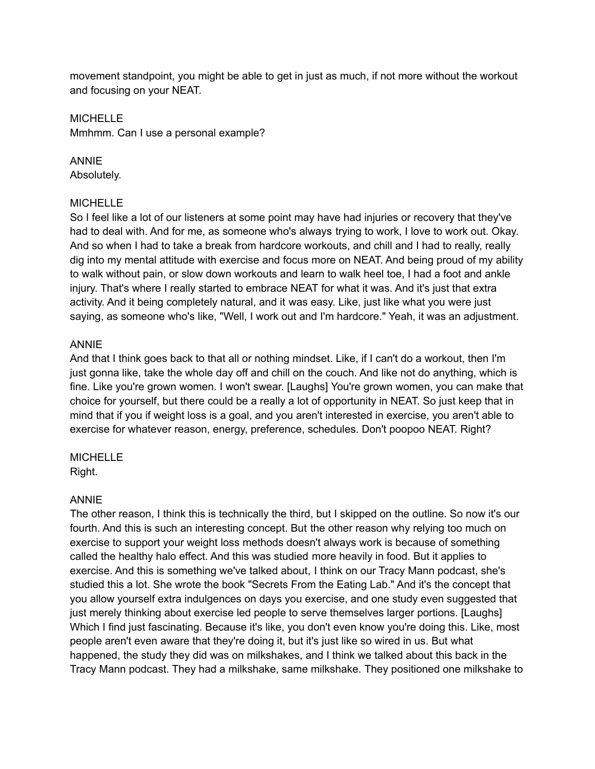movement standpoint, you might be able to get in just as much, if not more without the workout and focusing on your NEAT.

#### **MICHELLE**

Mmhmm. Can I use a personal example?

## ANNIE

Absolutely.

## **MICHELLE**

So I feel like a lot of our listeners at some point may have had injuries or recovery that they've had to deal with. And for me, as someone who's always trying to work, I love to work out. Okay. And so when I had to take a break from hardcore workouts, and chill and I had to really, really dig into my mental attitude with exercise and focus more on NEAT. And being proud of my ability to walk without pain, or slow down workouts and learn to walk heel toe, I had a foot and ankle injury. That's where I really started to embrace NEAT for what it was. And it's just that extra activity. And it being completely natural, and it was easy. Like, just like what you were just saying, as someone who's like, "Well, I work out and I'm hardcore." Yeah, it was an adjustment.

## ANNIE

And that I think goes back to that all or nothing mindset. Like, if I can't do a workout, then I'm just gonna like, take the whole day off and chill on the couch. And like not do anything, which is fine. Like you're grown women. I won't swear. [Laughs] You're grown women, you can make that choice for yourself, but there could be a really a lot of opportunity in NEAT. So just keep that in mind that if you if weight loss is a goal, and you aren't interested in exercise, you aren't able to exercise for whatever reason, energy, preference, schedules. Don't poopoo NEAT. Right?

## **MICHELLE**

Right.

## ANNIE

The other reason, I think this is technically the third, but I skipped on the outline. So now it's our fourth. And this is such an interesting concept. But the other reason why relying too much on exercise to support your weight loss methods doesn't always work is because of something called the healthy halo effect. And this was studied more heavily in food. But it applies to exercise. And this is something we've talked about, I think on our Tracy Mann podcast, she's studied this a lot. She wrote the book "Secrets From the Eating Lab." And it's the concept that you allow yourself extra indulgences on days you exercise, and one study even suggested that just merely thinking about exercise led people to serve themselves larger portions. [Laughs] Which I find just fascinating. Because it's like, you don't even know you're doing this. Like, most people aren't even aware that they're doing it, but it's just like so wired in us. But what happened, the study they did was on milkshakes, and I think we talked about this back in the Tracy Mann podcast. They had a milkshake, same milkshake. They positioned one milkshake to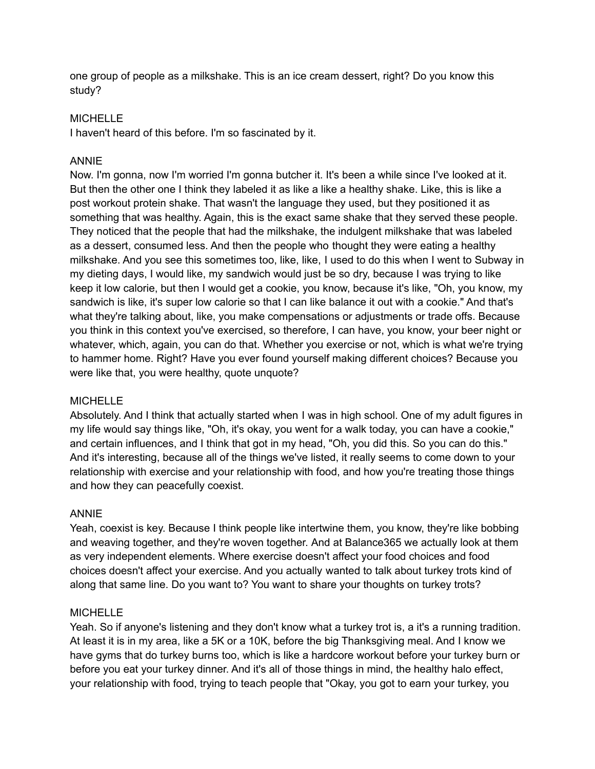one group of people as a milkshake. This is an ice cream dessert, right? Do you know this study?

## **MICHELLE**

I haven't heard of this before. I'm so fascinated by it.

## ANNIE

Now. I'm gonna, now I'm worried I'm gonna butcher it. It's been a while since I've looked at it. But then the other one I think they labeled it as like a like a healthy shake. Like, this is like a post workout protein shake. That wasn't the language they used, but they positioned it as something that was healthy. Again, this is the exact same shake that they served these people. They noticed that the people that had the milkshake, the indulgent milkshake that was labeled as a dessert, consumed less. And then the people who thought they were eating a healthy milkshake. And you see this sometimes too, like, like, I used to do this when I went to Subway in my dieting days, I would like, my sandwich would just be so dry, because I was trying to like keep it low calorie, but then I would get a cookie, you know, because it's like, "Oh, you know, my sandwich is like, it's super low calorie so that I can like balance it out with a cookie." And that's what they're talking about, like, you make compensations or adjustments or trade offs. Because you think in this context you've exercised, so therefore, I can have, you know, your beer night or whatever, which, again, you can do that. Whether you exercise or not, which is what we're trying to hammer home. Right? Have you ever found yourself making different choices? Because you were like that, you were healthy, quote unquote?

## **MICHELLE**

Absolutely. And I think that actually started when I was in high school. One of my adult figures in my life would say things like, "Oh, it's okay, you went for a walk today, you can have a cookie," and certain influences, and I think that got in my head, "Oh, you did this. So you can do this." And it's interesting, because all of the things we've listed, it really seems to come down to your relationship with exercise and your relationship with food, and how you're treating those things and how they can peacefully coexist.

## ANNIE

Yeah, coexist is key. Because I think people like intertwine them, you know, they're like bobbing and weaving together, and they're woven together. And at Balance365 we actually look at them as very independent elements. Where exercise doesn't affect your food choices and food choices doesn't affect your exercise. And you actually wanted to talk about turkey trots kind of along that same line. Do you want to? You want to share your thoughts on turkey trots?

## **MICHELLE**

Yeah. So if anyone's listening and they don't know what a turkey trot is, a it's a running tradition. At least it is in my area, like a 5K or a 10K, before the big Thanksgiving meal. And I know we have gyms that do turkey burns too, which is like a hardcore workout before your turkey burn or before you eat your turkey dinner. And it's all of those things in mind, the healthy halo effect, your relationship with food, trying to teach people that "Okay, you got to earn your turkey, you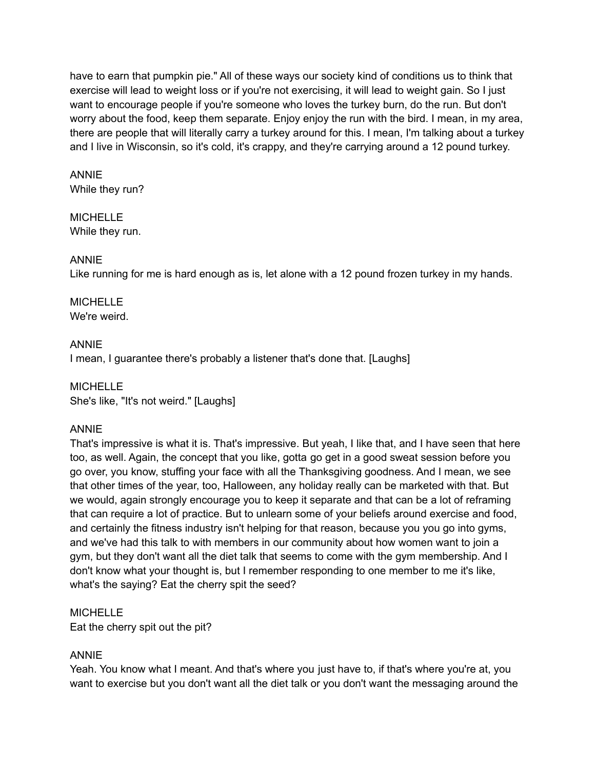have to earn that pumpkin pie." All of these ways our society kind of conditions us to think that exercise will lead to weight loss or if you're not exercising, it will lead to weight gain. So I just want to encourage people if you're someone who loves the turkey burn, do the run. But don't worry about the food, keep them separate. Enjoy enjoy the run with the bird. I mean, in my area, there are people that will literally carry a turkey around for this. I mean, I'm talking about a turkey and I live in Wisconsin, so it's cold, it's crappy, and they're carrying around a 12 pound turkey.

#### ANNIE While they run?

MICHELLE While they run.

## ANNIE

Like running for me is hard enough as is, let alone with a 12 pound frozen turkey in my hands.

#### **MICHELLE** We're weird.

## ANNIE

I mean, I guarantee there's probably a listener that's done that. [Laughs]

**MICHELLE** She's like, "It's not weird." [Laughs]

## ANNIE

That's impressive is what it is. That's impressive. But yeah, I like that, and I have seen that here too, as well. Again, the concept that you like, gotta go get in a good sweat session before you go over, you know, stuffing your face with all the Thanksgiving goodness. And I mean, we see that other times of the year, too, Halloween, any holiday really can be marketed with that. But we would, again strongly encourage you to keep it separate and that can be a lot of reframing that can require a lot of practice. But to unlearn some of your beliefs around exercise and food, and certainly the fitness industry isn't helping for that reason, because you you go into gyms, and we've had this talk to with members in our community about how women want to join a gym, but they don't want all the diet talk that seems to come with the gym membership. And I don't know what your thought is, but I remember responding to one member to me it's like, what's the saying? Eat the cherry spit the seed?

## MICHELLE

Eat the cherry spit out the pit?

## ANNIE

Yeah. You know what I meant. And that's where you just have to, if that's where you're at, you want to exercise but you don't want all the diet talk or you don't want the messaging around the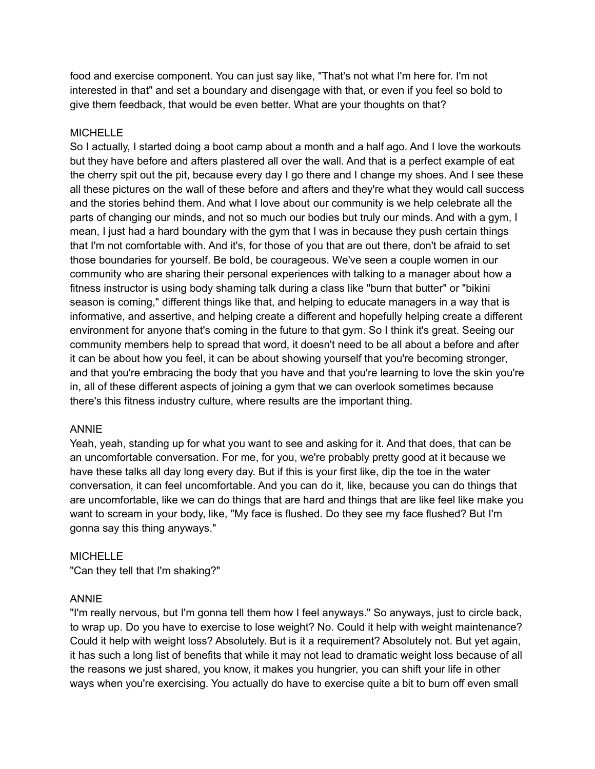food and exercise component. You can just say like, "That's not what I'm here for. I'm not interested in that" and set a boundary and disengage with that, or even if you feel so bold to give them feedback, that would be even better. What are your thoughts on that?

## MICHELLE

So I actually, I started doing a boot camp about a month and a half ago. And I love the workouts but they have before and afters plastered all over the wall. And that is a perfect example of eat the cherry spit out the pit, because every day I go there and I change my shoes. And I see these all these pictures on the wall of these before and afters and they're what they would call success and the stories behind them. And what I love about our community is we help celebrate all the parts of changing our minds, and not so much our bodies but truly our minds. And with a gym, I mean, I just had a hard boundary with the gym that I was in because they push certain things that I'm not comfortable with. And it's, for those of you that are out there, don't be afraid to set those boundaries for yourself. Be bold, be courageous. We've seen a couple women in our community who are sharing their personal experiences with talking to a manager about how a fitness instructor is using body shaming talk during a class like "burn that butter" or "bikini season is coming," different things like that, and helping to educate managers in a way that is informative, and assertive, and helping create a different and hopefully helping create a different environment for anyone that's coming in the future to that gym. So I think it's great. Seeing our community members help to spread that word, it doesn't need to be all about a before and after it can be about how you feel, it can be about showing yourself that you're becoming stronger, and that you're embracing the body that you have and that you're learning to love the skin you're in, all of these different aspects of joining a gym that we can overlook sometimes because there's this fitness industry culture, where results are the important thing.

## ANNIE

Yeah, yeah, standing up for what you want to see and asking for it. And that does, that can be an uncomfortable conversation. For me, for you, we're probably pretty good at it because we have these talks all day long every day. But if this is your first like, dip the toe in the water conversation, it can feel uncomfortable. And you can do it, like, because you can do things that are uncomfortable, like we can do things that are hard and things that are like feel like make you want to scream in your body, like, "My face is flushed. Do they see my face flushed? But I'm gonna say this thing anyways."

## **MICHELLE**

"Can they tell that I'm shaking?"

## ANNIE

"I'm really nervous, but I'm gonna tell them how I feel anyways." So anyways, just to circle back, to wrap up. Do you have to exercise to lose weight? No. Could it help with weight maintenance? Could it help with weight loss? Absolutely. But is it a requirement? Absolutely not. But yet again, it has such a long list of benefits that while it may not lead to dramatic weight loss because of all the reasons we just shared, you know, it makes you hungrier, you can shift your life in other ways when you're exercising. You actually do have to exercise quite a bit to burn off even small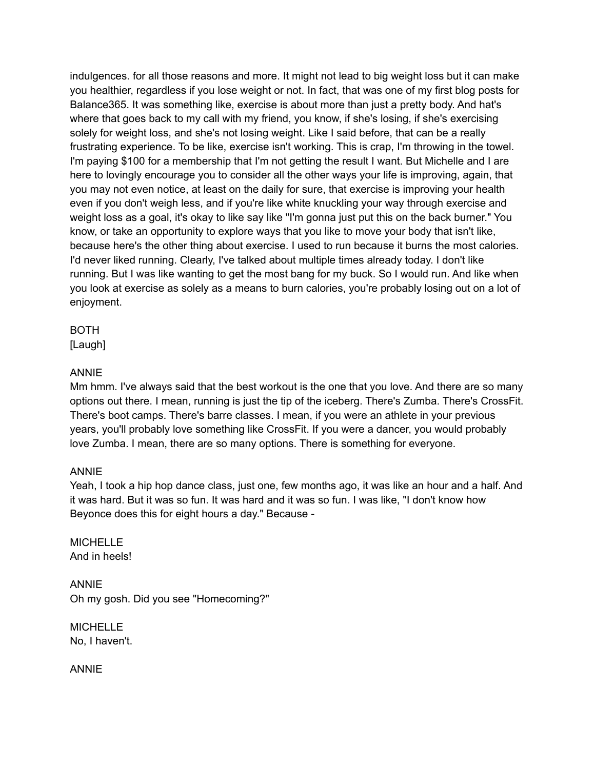indulgences. for all those reasons and more. It might not lead to big weight loss but it can make you healthier, regardless if you lose weight or not. In fact, that was one of my first blog posts for Balance365. It was something like, exercise is about more than just a pretty body. And hat's where that goes back to my call with my friend, you know, if she's losing, if she's exercising solely for weight loss, and she's not losing weight. Like I said before, that can be a really frustrating experience. To be like, exercise isn't working. This is crap, I'm throwing in the towel. I'm paying \$100 for a membership that I'm not getting the result I want. But Michelle and I are here to lovingly encourage you to consider all the other ways your life is improving, again, that you may not even notice, at least on the daily for sure, that exercise is improving your health even if you don't weigh less, and if you're like white knuckling your way through exercise and weight loss as a goal, it's okay to like say like "I'm gonna just put this on the back burner." You know, or take an opportunity to explore ways that you like to move your body that isn't like, because here's the other thing about exercise. I used to run because it burns the most calories. I'd never liked running. Clearly, I've talked about multiple times already today. I don't like running. But I was like wanting to get the most bang for my buck. So I would run. And like when you look at exercise as solely as a means to burn calories, you're probably losing out on a lot of enjoyment.

BOTH

[Laugh]

## ANNIE

Mm hmm. I've always said that the best workout is the one that you love. And there are so many options out there. I mean, running is just the tip of the iceberg. There's Zumba. There's CrossFit. There's boot camps. There's barre classes. I mean, if you were an athlete in your previous years, you'll probably love something like CrossFit. If you were a dancer, you would probably love Zumba. I mean, there are so many options. There is something for everyone.

## ANNIE

Yeah, I took a hip hop dance class, just one, few months ago, it was like an hour and a half. And it was hard. But it was so fun. It was hard and it was so fun. I was like, "I don't know how Beyonce does this for eight hours a day." Because -

**MICHELLE** And in heels!

ANNIE Oh my gosh. Did you see "Homecoming?"

MICHELLE No, I haven't.

ANNIE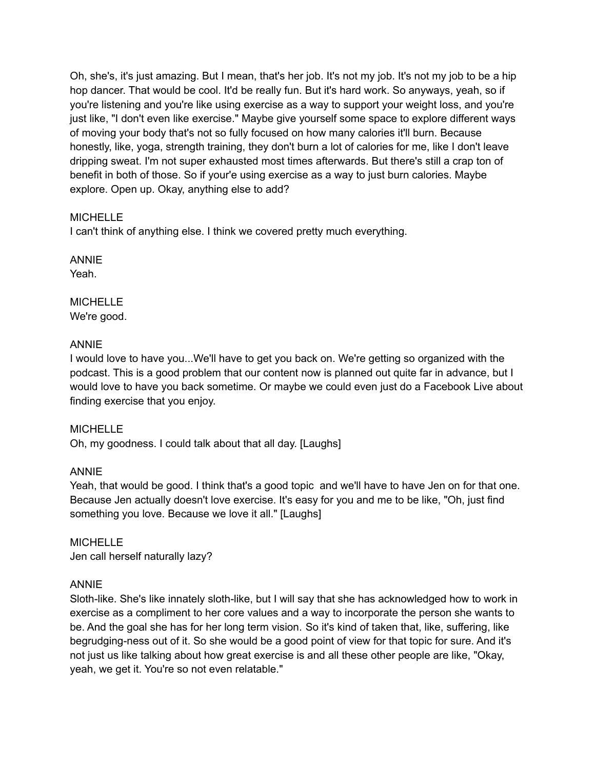Oh, she's, it's just amazing. But I mean, that's her job. It's not my job. It's not my job to be a hip hop dancer. That would be cool. It'd be really fun. But it's hard work. So anyways, yeah, so if you're listening and you're like using exercise as a way to support your weight loss, and you're just like, "I don't even like exercise." Maybe give yourself some space to explore different ways of moving your body that's not so fully focused on how many calories it'll burn. Because honestly, like, yoga, strength training, they don't burn a lot of calories for me, like I don't leave dripping sweat. I'm not super exhausted most times afterwards. But there's still a crap ton of benefit in both of those. So if your'e using exercise as a way to just burn calories. Maybe explore. Open up. Okay, anything else to add?

## MICHELLE

I can't think of anything else. I think we covered pretty much everything.

ANNIE Yeah.

**MICHELLE** We're good.

## ANNIE

I would love to have you...We'll have to get you back on. We're getting so organized with the podcast. This is a good problem that our content now is planned out quite far in advance, but I would love to have you back sometime. Or maybe we could even just do a Facebook Live about finding exercise that you enjoy.

## **MICHELLE**

Oh, my goodness. I could talk about that all day. [Laughs]

## ANNIE

Yeah, that would be good. I think that's a good topic and we'll have to have Jen on for that one. Because Jen actually doesn't love exercise. It's easy for you and me to be like, "Oh, just find something you love. Because we love it all." [Laughs]

**MICHELLE** Jen call herself naturally lazy?

## ANNIE

Sloth-like. She's like innately sloth-like, but I will say that she has acknowledged how to work in exercise as a compliment to her core values and a way to incorporate the person she wants to be. And the goal she has for her long term vision. So it's kind of taken that, like, suffering, like begrudging-ness out of it. So she would be a good point of view for that topic for sure. And it's not just us like talking about how great exercise is and all these other people are like, "Okay, yeah, we get it. You're so not even relatable."